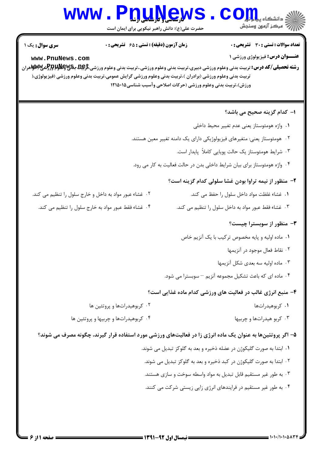# Www.PnuNews.Com

حضرت علی(ع): دانش راهبر نیکویی برای ایمان است

| <b>سری سوال :</b> یک ۱<br>www.PnuNews.com              | <b>زمان آزمون (دقیقه) : تستی : 65 گشریحی : 0</b><br><b>رشته تحصیلی/کد درس:</b> تربیت بدنی وعلوم ورزشی دبیری،تربیت بدنی وعلوم ورزشی.،تربیت بدنی وعلوم ورزشی <del>،تارپما ویاهاوا اوراک</del> شی ای استان وران<br>تربیت بدنی وعلوم ورزشی (برادران )،تربیت بدنی وعلوم ورزشی گرایش عمومی،تربیت بدنی وعلوم ورزشی (فیزیولوژی،(<br>ورزش)،تربیت بدنی وعلوم ورزشی (حرکات اصلاحی وآسیب شناسی۱۲۱۵۰۱۵ |                                                                                                             | <b>تعداد سوالات : تستی : 30 ٪ تشریحی : 0</b><br><b>عنـــوان درس:</b> فیزیولوژی ورزشی ۱          |
|--------------------------------------------------------|-------------------------------------------------------------------------------------------------------------------------------------------------------------------------------------------------------------------------------------------------------------------------------------------------------------------------------------------------------------------------------------------|-------------------------------------------------------------------------------------------------------------|-------------------------------------------------------------------------------------------------|
|                                                        |                                                                                                                                                                                                                                                                                                                                                                                           |                                                                                                             | ۱– کدام گزینه صحیح می باشد؟                                                                     |
|                                                        |                                                                                                                                                                                                                                                                                                                                                                                           |                                                                                                             | ٠١. واژه هومئوستاز يعنى عدم تغيير محيط داخلي                                                    |
|                                                        |                                                                                                                                                                                                                                                                                                                                                                                           | ۰۲ هومئوستاز یعنی: متغیرهای فیزیولوژیکی دارای یک دامنه تغییر معین هستند.                                    |                                                                                                 |
|                                                        |                                                                                                                                                                                                                                                                                                                                                                                           | ۰۳ شرایط هومئوستاز یک حالت پویایی کاملاً پایدار است.                                                        |                                                                                                 |
|                                                        |                                                                                                                                                                                                                                                                                                                                                                                           | ۰۴ واژه هومئوستاز برای بیان شرایط داخلی بدن در حالت فعالیت به کار می رود.                                   |                                                                                                 |
|                                                        |                                                                                                                                                                                                                                                                                                                                                                                           | <b>۲</b> - منظور از نیمه تراوا بودن غشا سلولی کدام گزینه است؟                                               |                                                                                                 |
| ۰۲ غشاء عبور مواد به داخل و خارج سلول را تنظیم می کند. |                                                                                                                                                                                                                                                                                                                                                                                           |                                                                                                             | ۰۱ غشاء غلظت مواد داخل سلول را حفظ می کند.                                                      |
|                                                        | ۰۴ غشاء فقط عبور مواد به خارج سلول را تنظیم می کند.                                                                                                                                                                                                                                                                                                                                       | ۰۳ غشاء فقط عبور مواد به داخل سلول را تنظیم می کند.                                                         |                                                                                                 |
|                                                        |                                                                                                                                                                                                                                                                                                                                                                                           | ٠١ ماده اوليه و پايه مخصوص تركيب با يک آنزيم خاص<br>۰۴ ماده ای که باعث تشکیل مجموعه آنزیم – سوبسترا می شود. | ۳- منظور از سوبسترا چیست؟<br>۰۲ نقاط فعال موجود در آنزیمها<br>۰۳ ماده اولیه سه بعدی شکل آنزیمها |
|                                                        |                                                                                                                                                                                                                                                                                                                                                                                           | ۴- منبع انرژی غالب در فعالیت های ورزشی کدام ماده غذایی است؟                                                 |                                                                                                 |
|                                                        | ۰۲ کربوهیدراتها و پروتئین ها                                                                                                                                                                                                                                                                                                                                                              |                                                                                                             | ۰۱ کربوهیدراتها                                                                                 |
|                                                        | ۰۴ کربوهیدراتها و چربیها و پروتئین ها                                                                                                                                                                                                                                                                                                                                                     |                                                                                                             | ۰۳ کربو هیدراتها و چربیها                                                                       |
|                                                        | ۵– اگر پروتئینها به عنوان یک ماده انرژی زا در فعالیتهای ورزشی مورد استفاده قرار گیرند، چگونه مصرف می شوند؟                                                                                                                                                                                                                                                                                |                                                                                                             |                                                                                                 |
|                                                        |                                                                                                                                                                                                                                                                                                                                                                                           | ۰۱ ابتدا به صورت گلیکوژن در عضله ذخیره و بعد به گلوکز تبدیل می شوند.                                        |                                                                                                 |
|                                                        |                                                                                                                                                                                                                                                                                                                                                                                           | ۰۲ ابتدا به صورت گلیکوژن در کبد ذخیره و بعد به گلوکز تبدیل می شوند.                                         |                                                                                                 |
|                                                        |                                                                                                                                                                                                                                                                                                                                                                                           | ۰۳ به طور غیر مستقیم قابل تبدیل به مواد واسطه سوخت و سازی هستند.                                            |                                                                                                 |
|                                                        |                                                                                                                                                                                                                                                                                                                                                                                           | ۰۴ به طور غیر مستقیم در فرایندهای انرژی زایی زیستی شرکت می کنند.                                            |                                                                                                 |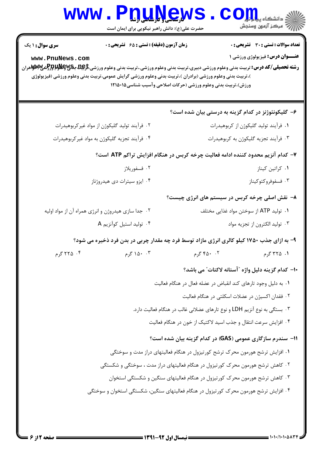|                                                                                                                                                                                                   | حضرت علی(ع): دانش راهبر نیکویی برای ایمان است                                                                                                                                                                                 |                                                                          | رآ - مرڪز آزمون وسنڊش                                                                  |
|---------------------------------------------------------------------------------------------------------------------------------------------------------------------------------------------------|-------------------------------------------------------------------------------------------------------------------------------------------------------------------------------------------------------------------------------|--------------------------------------------------------------------------|----------------------------------------------------------------------------------------|
| <b>سری سوال : ۱ یک</b><br>www.PnuNews.com<br><b>رشته تحصیلی/کد درس:</b> تربیت بدنی وعلوم ورزشی دبیری،تربیت بدنی وعلوم ورزشی.،تربیت بدنی وعلوم ورزشی <del>،تارپهای پایالواپراور(ش</del> یپایالوتی) | <b>زمان آزمون (دقیقه) : تستی : 65 گشریحی : 0</b><br>)،تربیت بدنی وعلوم ورزشی (برادران )،تربیت بدنی وعلوم ورزشی گرایش عمومی،تربیت بدنی وعلوم ورزشی (فیزیولوژی<br>ورزش)،تربیت بدنی وعلوم ورزشی (حرکات اصلاحی وآسیب شناسی۱۲۱۵۰۱۵ |                                                                          | <b>تعداد سوالات : تستی : 30 ٪ تشریحی : 0</b><br><b>عنـــوان درس:</b> فیزیولوژی ورزشی ۱ |
|                                                                                                                                                                                                   |                                                                                                                                                                                                                               |                                                                          | ۶– گلیکونئوژنز در کدام گزینه به درستی بیان شده است؟                                    |
| ۰۲ فرآیند تولید گلیکوژن از مواد غیرکربوهیدرات                                                                                                                                                     |                                                                                                                                                                                                                               | ٠١ فرآيند توليد گليكوژن از كربوهيدرات                                    |                                                                                        |
| ۰۴ فرآیند تجزیه گلیکوژن به مواد غیرکربوهیدرات                                                                                                                                                     |                                                                                                                                                                                                                               |                                                                          | ۰۳ فرآیند تجزیه گلیکوژن به کربوهیدرات                                                  |
|                                                                                                                                                                                                   | ۷– کدام آنزیم محدود کننده ادامه فعالیت چرخه کربس در هنگام افزایش تراکم ATP است؟                                                                                                                                               |                                                                          |                                                                                        |
| ۰۲ فسفوريلاز                                                                                                                                                                                      |                                                                                                                                                                                                                               |                                                                          | ٠١ كراتين كيناز                                                                        |
|                                                                                                                                                                                                   | ۰۴ ایزو سیترات دی هیدروژناز                                                                                                                                                                                                   |                                                                          | ۰۳ فسفوفروكتوكيناز                                                                     |
|                                                                                                                                                                                                   |                                                                                                                                                                                                                               |                                                                          | ۸− نقش اصلی چرخه کربس در سیستم های انرژی چیست؟                                         |
| ۰۲ جدا سازی هیدروژن و انرژی همراه آن از مواد اولیه                                                                                                                                                |                                                                                                                                                                                                                               |                                                                          | ۰۱ تولید ATP از سوختن مواد غذایی مختلف                                                 |
| ۰۴ تولید استیل کوآنزیم A                                                                                                                                                                          |                                                                                                                                                                                                                               |                                                                          | ۰۳ تولید الکترون از تجزیه مواد                                                         |
|                                                                                                                                                                                                   | ۹- به ازای جذب ۱۷۵۰ کیلو کالری انرژی مازاد توسط فرد چه مقدار چربی در بدن فرد ذخیره می شود؟                                                                                                                                    |                                                                          |                                                                                        |
| ۰۴ کرم                                                                                                                                                                                            | ۰۴ ۱۵۰ گرم                                                                                                                                                                                                                    |                                                                          | ۰۱. ۳۲۵ گرم مسلم ۲۵۰۰۲ گرم                                                             |
|                                                                                                                                                                                                   |                                                                                                                                                                                                                               |                                                                          | ١٠- كدام گزينه دليل واژه "آستانه لاكتات" مي باشد؟                                      |
|                                                                                                                                                                                                   |                                                                                                                                                                                                                               | ٠١. به دليل وجود تارهاي كند انقباض در عضله فعال در هنگام فعاليت          |                                                                                        |
|                                                                                                                                                                                                   |                                                                                                                                                                                                                               | ۰۲ فقدان اکسیژن در عضلات اسکلتی در هنگام فعالیت                          |                                                                                        |
|                                                                                                                                                                                                   |                                                                                                                                                                                                                               | ۰۳ بستگی به نوع آنزیم LDH و نوع تارهای عضلانی غالب در هنگام فعالیت دارد. |                                                                                        |
|                                                                                                                                                                                                   |                                                                                                                                                                                                                               | ۰۴ افزایش سرعت انتقال و جذب اسید لاکتیک از خون در هنگام فعالیت           |                                                                                        |
|                                                                                                                                                                                                   |                                                                                                                                                                                                                               |                                                                          | 1۱- سندرم سازگاری عمومی (GAS) در کدام گزینه بیان شده است؟                              |
|                                                                                                                                                                                                   | ۰۱ افزایش ترشح هورمون محرک ترشح کورتیزول در هنگام فعالیتهای دراز مدت و سوختگی                                                                                                                                                 |                                                                          |                                                                                        |
|                                                                                                                                                                                                   | ۰۲ کاهش ترشح هورمون محرک کورتیزول در هنگام فعالیتهای دراز مدت ، سوختگی و شکستگی                                                                                                                                               |                                                                          |                                                                                        |
|                                                                                                                                                                                                   | ۰۳ کاهش ترشح هورمون محرک کورتیزول در هنگام فعالیتهای سنگین و شکستگی استخوان                                                                                                                                                   |                                                                          |                                                                                        |
|                                                                                                                                                                                                   | ۰۴ افزایش ترشح هورمون محرک کورتیزول در هنگام فعالیتهای سنگین، شکستگی استخوان و سوختگی                                                                                                                                         |                                                                          |                                                                                        |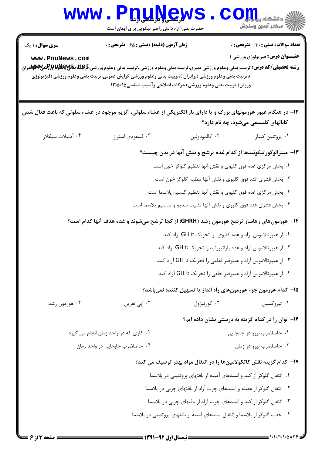| <b>WWW</b>                                                                                                                                                                                          | <b>لا رسىلى ( بارىلىلى ارى</b><br>حضرت علی(ع): دانش راهبر نیکویی برای ایمان است                                                                              |                                                                             | نشگاه بی <mark>ا پ</mark><br>رِ ۖ مرڪز آزمون وسنڊش                                     |
|-----------------------------------------------------------------------------------------------------------------------------------------------------------------------------------------------------|--------------------------------------------------------------------------------------------------------------------------------------------------------------|-----------------------------------------------------------------------------|----------------------------------------------------------------------------------------|
| <b>سری سوال : ۱ یک</b><br>www.PnuNews.com<br><b>رشته تحصیلی/کد درس:</b> تربیت بدنی وعلوم ورزشی دبیری،تربیت بدنی وعلوم ورزشی.،تربیت بدنی وعلوم ورزشی <del>کری</del> لگ بکلاکلاکلاکلاکلاکلاکلاکلامران | <b>زمان آزمون (دقیقه) : تستی : 65 تشریحی : 0</b><br>)،تربیت بدنی وعلوم ورزشی (برادران )،تربیت بدنی وعلوم ورزشی گرایش عمومی،تربیت بدنی وعلوم ورزشی (فیزیولوژی | ورزش)،تربیت بدنی وعلوم ورزشی (حرکات اصلاحی وآسیب شناسی۱۲۱۵۰۱۵               | <b>تعداد سوالات : تستی : 30 ٪ تشریحی : 0</b><br><b>عنـــوان درس:</b> فيزيولوژي ورزشي ۱ |
| ۱۲- در هنگام عبور هورمونهای بزرگ و یا دارای بار الکتریکی از غشاء سلولی، آنزیم موجود در غشاء سلولی که باعث فعال شدن                                                                                  |                                                                                                                                                              |                                                                             |                                                                                        |
| ۰۴ آدنیلات سیکلاز                                                                                                                                                                                   | ۰۳ فسفودي استراز                                                                                                                                             | ۰۲ كالمودولين                                                               | کانالهای کلسیمی میشود، چه نام دارد؟<br>۰۱ پروتئين کيناز                                |
|                                                                                                                                                                                                     |                                                                                                                                                              | ۱۳- مینرالوکورتیکوئیدها از کدام غده ترشح و نقش آنها در بدن چیست؟            |                                                                                        |
|                                                                                                                                                                                                     |                                                                                                                                                              | ۰۱ بخش مرکزی غده فوق کلیوی و نقش آنها تنظیم گلوکز خون است                   |                                                                                        |
|                                                                                                                                                                                                     |                                                                                                                                                              | ۰۲ بخش قشری غده فوق کلیوی و نقش آنها تنظیم گلوکز خون است                    |                                                                                        |
|                                                                                                                                                                                                     |                                                                                                                                                              | ۰۳ بخش مرکزی غده فوق کلیوی و نقش آنها تنظیم کلسیم پلاسما است                |                                                                                        |
|                                                                                                                                                                                                     |                                                                                                                                                              | ۰۴ بخش قشری غده فوق کلیوی و نقش آنها تثبیت سدیم و پتاسیم پلاسما است         |                                                                                        |
|                                                                                                                                                                                                     | <b>۱۴</b> - هورمونهای رهاساز ترشح هورمون رشد (GHRH) از کجا ترشح میشوند و غده هدف آنها کدام است؟                                                              |                                                                             |                                                                                        |
|                                                                                                                                                                                                     |                                                                                                                                                              | ۰۱ از هیپوتالاموس آزاد و غده کلیوی را تحریک تا GH آزاد کند.                 |                                                                                        |
|                                                                                                                                                                                                     |                                                                                                                                                              | ۰۲ از هیپوتالاموس آزاد و غده پاراتیروئید را تحریک تا GH آزاد کند.           |                                                                                        |
|                                                                                                                                                                                                     |                                                                                                                                                              | ۰۳ از هیپوتالاموس آزاد و هیپوفیز قدامی را تحریک تا GH آزاد کند.             |                                                                                        |
|                                                                                                                                                                                                     |                                                                                                                                                              | ۰۴ از هیپوتالاموس آزاد و هیپوفیز خلفی را تحریک تا GH آزاد کند.              |                                                                                        |
|                                                                                                                                                                                                     |                                                                                                                                                              | ۱۵– کدام هورمون جزء هورمونهای راه انداز یا تسهیل کننده نمیباشد؟             |                                                                                        |
| ۰۴ هورمون رشد                                                                                                                                                                                       | ۰۳ اپی نفرین                                                                                                                                                 | ۰۲ کورتیزول                                                                 | ۰۱ تیروکسین                                                                            |
|                                                                                                                                                                                                     |                                                                                                                                                              |                                                                             | ۱۶– توان را در کدام گزینه به درستی نشان داده ایم؟                                      |
| ٠٢ كاري كه در واحد زمان انجام مي گيرد                                                                                                                                                               |                                                                                                                                                              |                                                                             | ٠١ حاصلضرب نيرو در جابجايي                                                             |
| ۰۴ حاصلضرب جابجايي در واحد زمان                                                                                                                                                                     |                                                                                                                                                              |                                                                             | ۰۳ حاصلضرب نیرو در زمان                                                                |
|                                                                                                                                                                                                     |                                                                                                                                                              | ۱۷– کدام گزینه نقش کاتکولامینها را در انتقال مواد بهتر توصیف می کند؟        |                                                                                        |
|                                                                                                                                                                                                     |                                                                                                                                                              | ۰۱ انتقال گلوکز از کبد و اسیدهای آمینه از بافتهای پروتئینی در پلاسما        |                                                                                        |
|                                                                                                                                                                                                     |                                                                                                                                                              | ۰۲ انتقال گلوکز از عضله و اسیدهای چرب آزاد از بافتهای چربی در پلاسما        |                                                                                        |
|                                                                                                                                                                                                     |                                                                                                                                                              | ۰۳ انتقال گلوکز از کبد و اسیدهای چرب آزاد از بافتهای چربی در پلاسما         |                                                                                        |
|                                                                                                                                                                                                     |                                                                                                                                                              | ۰۴ جذب گلوکز از پلاسما و انتقال اسیدهای آمینه از بافتهای پروتئینی در پلاسما |                                                                                        |
|                                                                                                                                                                                                     |                                                                                                                                                              |                                                                             |                                                                                        |

 $1 - 1 - 1 - 1 - 0 - 17$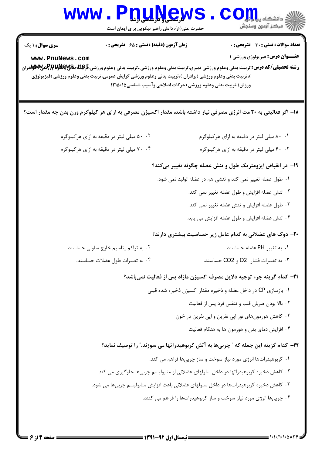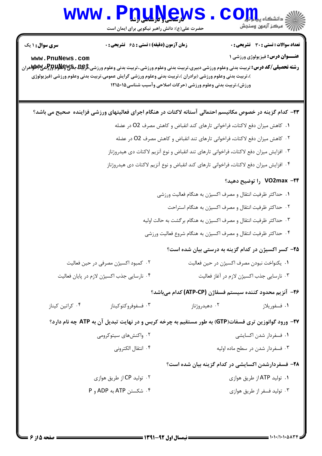### WWW.PnuNews.Com

حضرت علی(ع): دانش راهبر نیکویی برای ایمان است

تعداد سوالات : تستى : 30 - تشريحي : 0

**عنــوان درس:** فیزیولوژی ورزشی ۱

**زمان آزمون (دقیقه) : تستی : 65 ٪ تشریحی : 0** 

**سری سوال : ۱ یک** 

www.PnuNews.com

**رشته تحصیلی/کد درس:** تربیت بدنی وعلوم ورزشی دبیری،تربیت بدنی وعلوم ورزشی.،تربیت بدنی وعلوم ورزشی<del>،گریها مکالولاپر(گ</del>شی۷۶۷هران )،تربیت بدنی وعلوم ورزشی (برادران )،تربیت بدنی وعلوم ورزشی گرایش عمومی،تربیت بدنی وعلوم ورزشی (فیزیولوژی ورزش)،تربیت بدنی وعلوم ورزشی (حرکات اصلاحی وآسیب شناسی120016

۲۳– کدام گزینه در خصوص مکانیسم احتمالی آستانه لاکتات در هنگام اجرای فعالیتهای ورزشی فزاینده صحیح می باشد؟

- ۰۱ كاهش ميزان دفع لاكتات، فراخواني تارهاي كند انقباض و كاهش مصرف O2 در عضله
- ۰۲ كاهش ميزان دفع لاكتات، فراخواني تارهاي تند انقباض و كاهش مصرف O2 در عضله
- ۰۳ افزایش میزان دفع لاکتات، فراخوانی تارهای تند انقباض و نوع آنزیم لاکتات دی هیدروژناز
- ۰۴ افزایش میزان دفع لاکتات، فراخوانی تارهای کند انقباض و نوع آنزیم لاکتات دی هیدروژناز

#### ۷O2max -۲۴ را توضیح دهید؟

- ٠١. حداكثر ظرفيت انتقال و مصرف اكسيژن به هنگام فعاليت ورزشي
	- ٢. حداكثر ظرفيت انتقال و مصرف اكسيژن به هنگام استراحت
- ۰۳ حداکثر ظرفیت انتقال و مصرف اکسیژن به هنگام برگشت به حالت اولیه
- ۰۴ حداکثر ظرفیت انتقال و مصرف اکسیژن به هنگام شروع فعالیت ورزشی

۲۵- کسر اکسیژن در کدام گزینه به درستی بیان شده است؟

| ۰۲ کمبود اکسیژن مصرفی در حین فعالیت        | ۰۱ یکنواخت نبودن مصرف اکسیژن در حین فعالیت |
|--------------------------------------------|--------------------------------------------|
| ۰۴ نارسایی جذب اکسیژن لازم در پایان فعالیت | ۰۳ نارسایی جذب اکسیژن لازم در آغاز فعالیت  |

#### **1**۶− آنزیم محدود کننده سیستم فسفاژن (ATP-CP) کدام میباشد؟

۰۴ کراتین کیناز ۰۳ فسفوفروكتوكيناز ۰۲ دهید, وژناز ۰۱ فسفوريلاز

77- ورود گوانوزین تری فسفات(GTP) به طور مستقیم به چرخه کربس و در نهایت تبدیل آن به ATP چه نام دارد؟

- ۰۲ واکنش های ستوکرومی ٠١ فسفردار شدن اكسانشي
	- ۴. انتقال الكتروني ۰۳ فسفردار شدن در سطح ماده اولیه

#### ۲۸– فسفردارشدن اکسایشی در کدام گزینه بیان شده است؟

۰۲ تولید CP از طریق هوازی ۰۱ تولید ATP از طریق هوازی ۴. شكستن ATP به ADP و P ۰۳ تولید فسفر از طریق هوازی